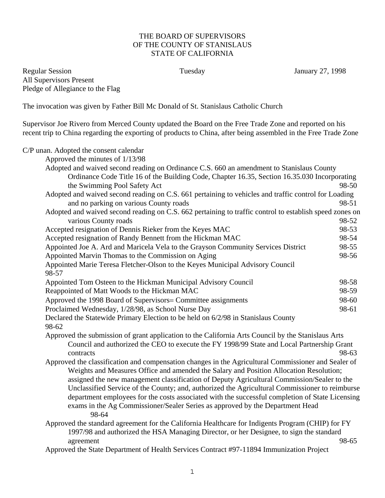## THE BOARD OF SUPERVISORS OF THE COUNTY OF STANISLAUS STATE OF CALIFORNIA

Regular Session Tuesday January 27, 1998 All Supervisors Present Pledge of Allegiance to the Flag

The invocation was given by Father Bill Mc Donald of St. Stanislaus Catholic Church

Supervisor Joe Rivero from Merced County updated the Board on the Free Trade Zone and reported on his recent trip to China regarding the exporting of products to China, after being assembled in the Free Trade Zone

C/P unan. Adopted the consent calendar

| Approved the minutes of 1/13/98                                                                                                                                                                  |       |
|--------------------------------------------------------------------------------------------------------------------------------------------------------------------------------------------------|-------|
| Adopted and waived second reading on Ordinance C.S. 660 an amendment to Stanislaus County                                                                                                        |       |
| Ordinance Code Title 16 of the Building Code, Chapter 16.35, Section 16.35.030 Incorporating                                                                                                     |       |
| the Swimming Pool Safety Act                                                                                                                                                                     | 98-50 |
| Adopted and waived second reading on C.S. 661 pertaining to vehicles and traffic control for Loading                                                                                             |       |
| and no parking on various County roads                                                                                                                                                           | 98-51 |
| Adopted and waived second reading on C.S. 662 pertaining to traffic control to establish speed zones on                                                                                          |       |
| various County roads                                                                                                                                                                             | 98-52 |
| Accepted resignation of Dennis Rieker from the Keyes MAC                                                                                                                                         | 98-53 |
| Accepted resignation of Randy Bennett from the Hickman MAC                                                                                                                                       | 98-54 |
| Appointed Joe A. Ard and Maricela Vela to the Grayson Community Services District                                                                                                                | 98-55 |
| Appointed Marvin Thomas to the Commission on Aging                                                                                                                                               | 98-56 |
| Appointed Marie Teresa Fletcher-Olson to the Keyes Municipal Advisory Council<br>98-57                                                                                                           |       |
| Appointed Tom Osteen to the Hickman Municipal Advisory Council                                                                                                                                   | 98-58 |
| Reappointed of Matt Woods to the Hickman MAC                                                                                                                                                     | 98-59 |
| Approved the 1998 Board of Supervisors= Committee assignments                                                                                                                                    | 98-60 |
| Proclaimed Wednesday, 1/28/98, as School Nurse Day                                                                                                                                               | 98-61 |
| Declared the Statewide Primary Election to be held on 6/2/98 in Stanislaus County<br>98-62                                                                                                       |       |
| Approved the submission of grant application to the California Arts Council by the Stanislaus Arts<br>Council and authorized the CEO to execute the FY 1998/99 State and Local Partnership Grant |       |
| contracts                                                                                                                                                                                        | 98-63 |
| Approved the classification and compensation changes in the Agricultural Commissioner and Sealer of                                                                                              |       |
| Weights and Measures Office and amended the Salary and Position Allocation Resolution;                                                                                                           |       |
| assigned the new management classification of Deputy Agricultural Commission/Sealer to the                                                                                                       |       |
| Unclassified Service of the County; and, authorized the Agricultural Commissioner to reimburse                                                                                                   |       |
| department employees for the costs associated with the successful completion of State Licensing                                                                                                  |       |
| exams in the Ag Commissioner/Sealer Series as approved by the Department Head<br>98-64                                                                                                           |       |
| Approved the standard agreement for the California Healthcare for Indigents Program (CHIP) for FY                                                                                                |       |
| 1997/98 and authorized the HSA Managing Director, or her Designee, to sign the standard                                                                                                          |       |
| agreement                                                                                                                                                                                        | 98-65 |
| Approved the State Department of Health Services Contract #97-11894 Immunization Project                                                                                                         |       |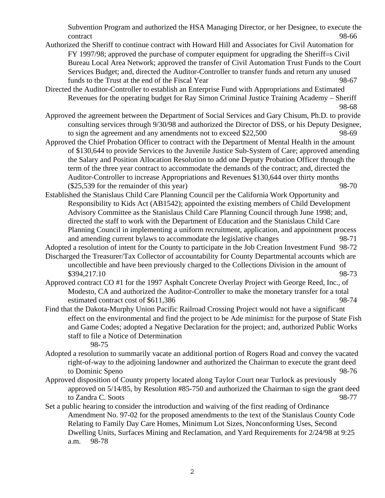Subvention Program and authorized the HSA Managing Director, or her Designee, to execute the contract 98-66

- Authorized the Sheriff to continue contract with Howard Hill and Associates for Civil Automation for FY 1997/98; approved the purchase of computer equipment for upgrading the Sheriff=s Civil Bureau Local Area Network; approved the transfer of Civil Automation Trust Funds to the Court Services Budget; and, directed the Auditor-Controller to transfer funds and return any unused funds to the Trust at the end of the Fiscal Year 98-67
- Directed the Auditor-Controller to establish an Enterprise Fund with Appropriations and Estimated Revenues for the operating budget for Ray Simon Criminal Justice Training Academy – Sheriff 98-68
- Approved the agreement between the Department of Social Services and Gary Chisum, Ph.D. to provide consulting services through 9/30/98 and authorized the Director of DSS, or his Deputy Designee, to sign the agreement and any amendments not to exceed \$22,500 98-69
- Approved the Chief Probation Officer to contract with the Department of Mental Health in the amount of \$130,644 to provide Services to the Juvenile Justice Sub-System of Care; approved amending the Salary and Position Allocation Resolution to add one Deputy Probation Officer through the term of the three year contract to accommodate the demands of the contract; and, directed the Auditor-Controller to increase Appropriations and Revenues \$130,644 over thirty months  $(\$25,539$  for the remainder of this year) 98-70
- Established the Stanislaus Child Care Planning Council per the California Work Opportunity and Responsibility to Kids Act (AB1542); appointed the existing members of Child Development Advisory Committee as the Stanislaus Child Care Planning Council through June 1998; and, directed the staff to work with the Department of Education and the Stanislaus Child Care Planning Council in implementing a uniform recruitment, application, and appointment process and amending current bylaws to accommodate the legislative changes 98-71
- Adopted a resolution of intent for the County to participate in the Job Creation Investment Fund 98-72
- Discharged the Treasurer/Tax Collector of accountability for County Departmental accounts which are uncollectible and have been previously charged to the Collections Division in the amount of  $$394.217.10$  98-73
- Approved contract CO #1 for the 1997 Asphalt Concrete Overlay Project with George Reed, Inc., of Modesto, CA and authorized the Auditor-Controller to make the monetary transfer for a total estimated contract cost of \$611,386 98-74
- Find that the Dakota-Murphy Union Pacific Railroad Crossing Project would not have a significant effect on the environmental and find the project to be Αde minimis≅ for the purpose of State Fish and Game Codes; adopted a Negative Declaration for the project; and, authorized Public Works staff to file a Notice of Determination 98-75
- Adopted a resolution to summarily vacate an additional portion of Rogers Road and convey the vacated right-of-way to the adjoining landowner and authorized the Chairman to execute the grant deed to Dominic Speno 98-76
- Approved disposition of County property located along Taylor Court near Turlock as previously approved on 5/14/85, by Resolution #85-750 and authorized the Chairman to sign the grant deed to Zandra C. Soots 98-77
- Set a public hearing to consider the introduction and waiving of the first reading of Ordinance Amendment No. 97-02 for the proposed amendments to the text of the Stanislaus County Code Relating to Family Day Care Homes, Minimum Lot Sizes, Nonconforming Uses, Second Dwelling Units, Surfaces Mining and Reclamation, and Yard Requirements for 2/24/98 at 9:25 a.m. 98-78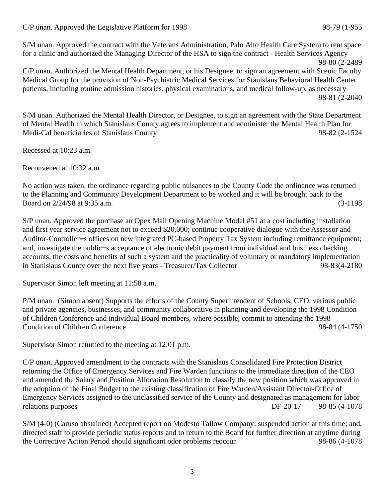## C/P unan. Approved the Legislative Platform for 1998 98-79 (1-955

S/M unan. Approved the contract with the Veterans Administration, Palo Alto Health Care System to rent space for a clinic and authorized the Managing Director of the HSA to sign the contract - Health Services Agency

98-80 (2-2489 C/P unan. Authorized the Mental Health Department, or his Designee, to sign an agreement with Scenic Faculty Medical Group for the provision of Non-Psychiatric Medical Services for Stanislaus Behavioral Health Center patients, including routine admission histories, physical examinations, and medical follow-up, as necessary 98-81 (2-2040

S/M unan. Authorized the Mental Health Director, or Designee, to sign an agreement with the State Department of Mental Health in which Stanislaus County agrees to implement and administer the Mental Health Plan for Medi-Cal beneficiaries of Stanislaus County 98-82 (2-1524

Recessed at 10:23 a.m.

Reconvened at 10:32 a.m.

No action was taken. the ordinance regarding public nuisances to the County Code the ordinance was returned to the Planning and Community Development Department to be worked and it will be brought back to the Board on 2/24/98 at 9:35 a.m. (3-1198

S/P unan. Approved the purchase an Opex Mail Opening Machine Model #51 at a cost including installation and first year service agreement not to exceed \$20,000; continue cooperative dialogue with the Assessor and Auditor-Controller=s offices on new integrated PC-based Property Tax System including remittance equipment; and, investigate the public=s acceptance of electronic debit payment from individual and business checking accounts, the costs and benefits of such a system and the practicality of voluntary or mandatory implementation in Stanislaus County over the next five years - Treasurer/Tax Collector 98-83(4-2180

Supervisor Simon left meeting at 11:58 a.m.

P/M unan. (Simon absent) Supports the efforts of the County Superintendent of Schools, CEO, various public and private agencies, businesses, and community collaborative in planning and developing the 1998 Condition of Children Conference and individual Board members, where possible, commit to attending the 1998 Condition of Children Conference 98-84 (4-1750

Supervisor Simon returned to the meeting at 12:01 p.m.

C/P unan. Approved amendment to the contracts with the Stanislaus Consolidated Fire Protection District returning the Office of Emergency Services and Fire Warden functions to the immediate direction of the CEO and amended the Salary and Position Allocation Resolution to classify the new position which was approved in the adoption of the Final Budget to the existing classification of Fire Warden/Assistant Director-Office of Emergency Services assigned to the unclassified service of the County and designated as management for labor relations purposes DF-20-17 98-85 (4-1078

S/M (4-0) (Caruso abstained) Accepted report on Modesto Tallow Company; suspended action at this time; and, directed staff to provide periodic status reports and to return to the Board for further direction at anytime during the Corrective Action Period should significant odor problems reoccur 98-86 (4-1078